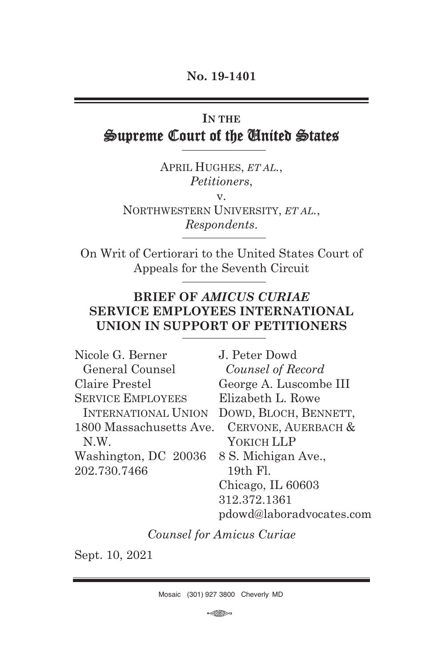# **IN THE** Supreme Court of the United States Ī

APRIL HUGHES, *ET AL.*, *Petitioners*, v. NORTHWESTERN UNIVERSITY, *ET AL.*, *Respondents*.

On Writ of Certiorari to the United States Court of Appeals for the Seventh Circuit

## **BRIEF OF** *AMICUS CURIAE* **SERVICE EMPLOYEES INTERNATIONAL UNION IN SUPPORT OF PETITIONERS**

| Nicole G. Berner           | J. Peter Dowd            |
|----------------------------|--------------------------|
| General Counsel            | Counsel of Record        |
| Claire Prestel             | George A. Luscombe III   |
| <b>SERVICE EMPLOYEES</b>   | Elizabeth L. Rowe        |
| <b>INTERNATIONAL UNION</b> | DOWD, BLOCH, BENNETT,    |
| 1800 Massachusetts Ave.    | CERVONE, AUERBACH &      |
| N.W.                       | YOKICH LLP               |
| Washington, DC 20036       | 8 S. Michigan Ave.,      |
| 202.730.7466               | 19th Fl.                 |
|                            | Chicago, IL 60603        |
|                            | 312.372.1361             |
|                            | pdowd@laboradvocates.com |

*Counsel for Amicus Curiae* 

Sept. 10, 2021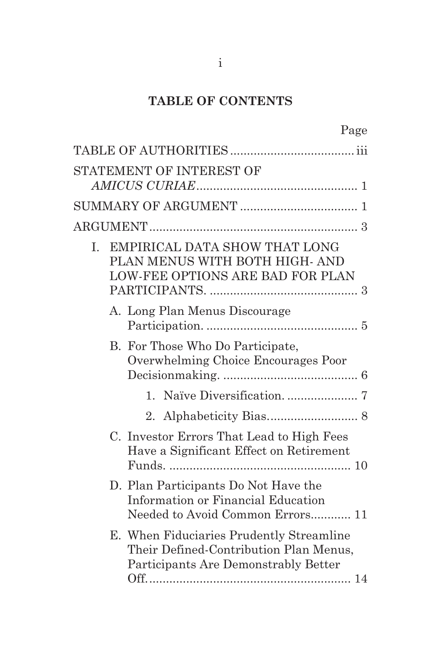# **TABLE OF CONTENTS**

 $P_9$ ge

| STATEMENT OF INTEREST OF                                                                                                   |  |
|----------------------------------------------------------------------------------------------------------------------------|--|
|                                                                                                                            |  |
|                                                                                                                            |  |
|                                                                                                                            |  |
| EMPIRICAL DATA SHOW THAT LONG<br>I.<br>PLAN MENUS WITH BOTH HIGH- AND<br><b>LOW-FEE OPTIONS ARE BAD FOR PLAN</b>           |  |
| A. Long Plan Menus Discourage                                                                                              |  |
| B. For Those Who Do Participate,<br>Overwhelming Choice Encourages Poor                                                    |  |
| $\mathbf{1}$                                                                                                               |  |
| 2 <sub>1</sub>                                                                                                             |  |
| C. Investor Errors That Lead to High Fees<br>Have a Significant Effect on Retirement                                       |  |
| D. Plan Participants Do Not Have the<br>Information or Financial Education<br>Needed to Avoid Common Errors 11             |  |
| E. When Fiduciaries Prudently Streamline<br>Their Defined-Contribution Plan Menus,<br>Participants Are Demonstrably Better |  |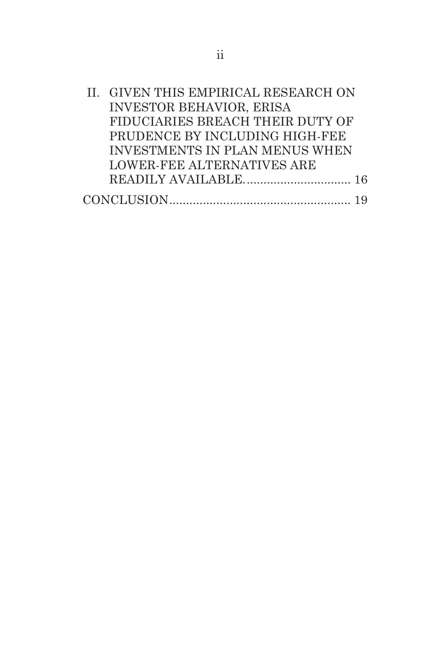| II. GIVEN THIS EMPIRICAL RESEARCH ON |
|--------------------------------------|
| <b>INVESTOR BEHAVIOR, ERISA</b>      |
| FIDUCIARIES BREACH THEIR DUTY OF     |
| PRUDENCE BY INCLUDING HIGH-FEE       |
| INVESTMENTS IN PLAN MENUS WHEN       |
| LOWER-FEE ALTERNATIVES ARE           |
|                                      |
|                                      |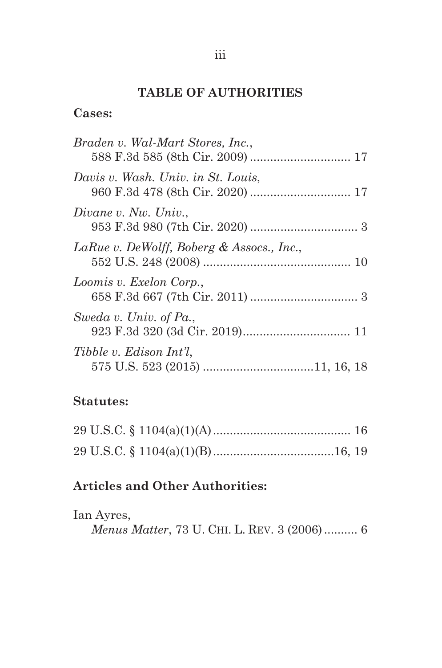# **TABLE OF AUTHORITIES**

# **Cases:**

| Braden v. Wal-Mart Stores, Inc.,          |
|-------------------------------------------|
| Davis v. Wash. Univ. in St. Louis.        |
| Divane v. Nw. Univ.,                      |
| LaRue v. DeWolff, Boberg & Assocs., Inc., |
| Loomis v. Exelon Corp.,                   |
| Sweda v. Univ. of Pa.,                    |
| Tibble v. Edison Int'l.                   |

# **Statutes:**

# **Articles and Other Authorities:**

| Ian Ayres,                                          |  |  |
|-----------------------------------------------------|--|--|
| <i>Menus Matter</i> , 73 U. CHI. L. REV. 3 (2006) 6 |  |  |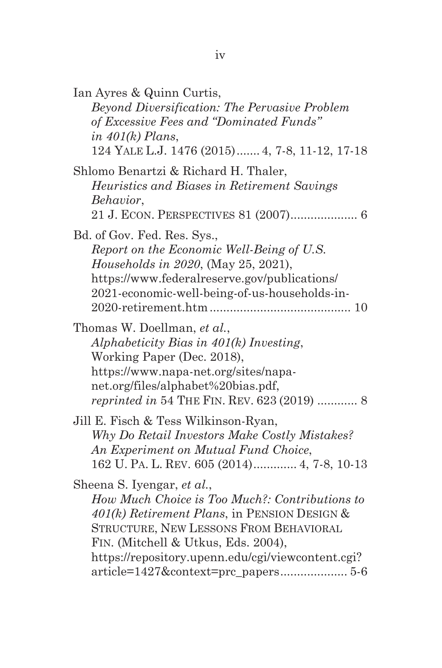| Ian Ayres & Quinn Curtis,<br>Beyond Diversification: The Pervasive Problem<br>of Excessive Fees and "Dominated Funds"<br>in $401(k)$ Plans,<br>124 YALE L.J. 1476 (2015) 4, 7-8, 11-12, 17-18                                                                      |
|--------------------------------------------------------------------------------------------------------------------------------------------------------------------------------------------------------------------------------------------------------------------|
| Shlomo Benartzi & Richard H. Thaler,<br>Heuristics and Biases in Retirement Savings<br>Behavior,<br>21 J. ECON. PERSPECTIVES 81 (2007) 6                                                                                                                           |
| Bd. of Gov. Fed. Res. Sys.,<br>Report on the Economic Well-Being of U.S.<br><i>Households in 2020</i> , (May 25, 2021),<br>https://www.federalreserve.gov/publications/<br>2021-economic-well-being-of-us-households-in-                                           |
| Thomas W. Doellman, et al.,<br>Alphabeticity Bias in 401(k) Investing,<br>Working Paper (Dec. 2018),<br>https://www.napa-net.org/sites/napa-<br>net.org/files/alphabet%20bias.pdf,<br><i>reprinted in</i> 54 THE FIN. REV. 623 (2019)  8                           |
| Jill E. Fisch & Tess Wilkinson-Ryan,<br>Why Do Retail Investors Make Costly Mistakes?<br>An Experiment on Mutual Fund Choice,<br>162 U. PA. L. REV. 605 (2014) 4, 7-8, 10-13                                                                                       |
| Sheena S. Iyengar, et al.,<br>How Much Choice is Too Much?: Contributions to<br>401(k) Retirement Plans, in PENSION DESIGN &<br>STRUCTURE, NEW LESSONS FROM BEHAVIORAL<br>FIN. (Mitchell & Utkus, Eds. 2004),<br>https://repository.upenn.edu/cgi/viewcontent.cgi? |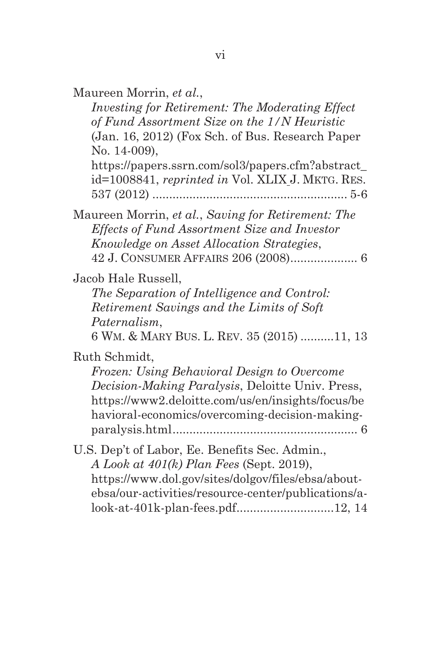| Maureen Morrin, et al., |  |
|-------------------------|--|
|-------------------------|--|

*Investing for Retirement: The Moderating Effect of Fund Assortment Size on the 1/N Heuristic* (Jan. 16, 2012) (Fox Sch. of Bus. Research Paper No. 14-009), https://papers.ssrn.com/sol3/papers.cfm?abstract\_

id=1008841, *reprinted in* Vol. XLIX J. MKTG. RES. 537 (2012) .......................................................... 5-6

Maureen Morrin, *et al.*, *Saving for Retirement: The Effects of Fund Assortment Size and Investor Knowledge on Asset Allocation Strategies*, 42 J. CONSUMER AFFAIRS 206 (2008) .................... 6

Jacob Hale Russell,

*The Separation of Intelligence and Control: Retirement Savings and the Limits of Soft Paternalism*,

6 WM. & MARY BUS. L. REV. 35 (2015) ..........11, 13

Ruth Schmidt,

*Frozen: Using Behavioral Design to Overcome Decision-Making Paralysis*, Deloitte Univ. Press, https://www2.deloitte.com/us/en/insights/focus/be havioral-economics/overcoming-decision-makingparalysis.html ....................................................... 6

U.S. Dep't of Labor, Ee. Benefits Sec. Admin., *A Look at 401(k) Plan Fees* (Sept. 2019), https://www.dol.gov/sites/dolgov/files/ebsa/aboutebsa/our-activities/resource-center/publications/alook-at-401k-plan-fees.pdf.............................12, 14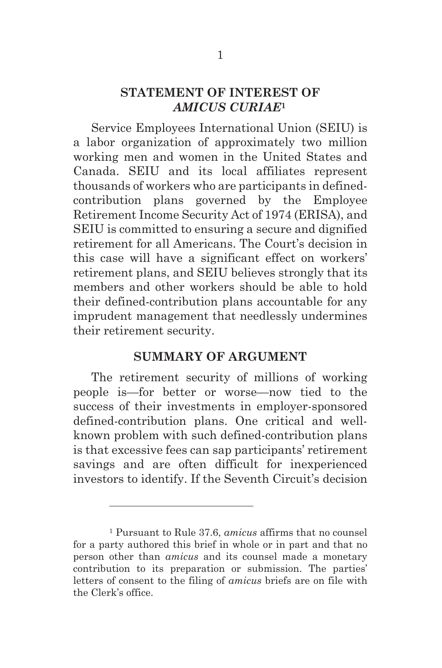#### **STATEMENT OF INTEREST OF**  *AMICUS CURIAE***<sup>1</sup>**

Service Employees International Union (SEIU) is a labor organization of approximately two million working men and women in the United States and Canada. SEIU and its local affiliates represent thousands of workers who are participants in definedcontribution plans governed by the Employee Retirement Income Security Act of 1974 (ERISA), and SEIU is committed to ensuring a secure and dignified retirement for all Americans. The Court's decision in this case will have a significant effect on workers' retirement plans, and SEIU believes strongly that its members and other workers should be able to hold their defined-contribution plans accountable for any imprudent management that needlessly undermines their retirement security.

#### **SUMMARY OF ARGUMENT**

The retirement security of millions of working people is—for better or worse—now tied to the success of their investments in employer-sponsored defined-contribution plans. One critical and wellknown problem with such defined-contribution plans is that excessive fees can sap participants' retirement savings and are often difficult for inexperienced investors to identify. If the Seventh Circuit's decision

<sup>1</sup> Pursuant to Rule 37.6, *amicus* affirms that no counsel for a party authored this brief in whole or in part and that no person other than *amicus* and its counsel made a monetary contribution to its preparation or submission. The parties' letters of consent to the filing of *amicus* briefs are on file with the Clerk's office.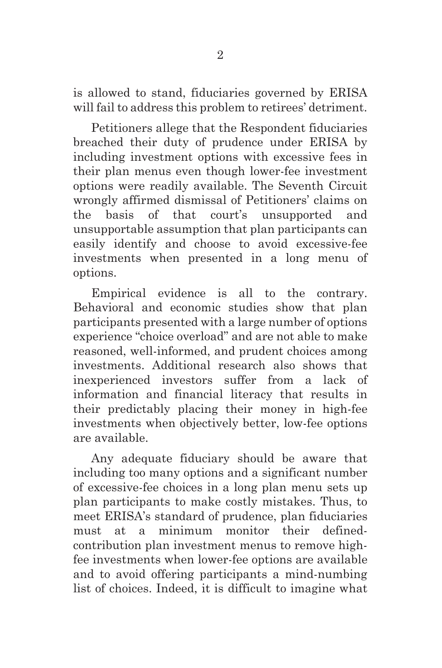is allowed to stand, fiduciaries governed by ERISA will fail to address this problem to retirees' detriment.

Petitioners allege that the Respondent fiduciaries breached their duty of prudence under ERISA by including investment options with excessive fees in their plan menus even though lower-fee investment options were readily available. The Seventh Circuit wrongly affirmed dismissal of Petitioners' claims on the basis of that court's unsupported and unsupportable assumption that plan participants can easily identify and choose to avoid excessive-fee investments when presented in a long menu of options.

Empirical evidence is all to the contrary. Behavioral and economic studies show that plan participants presented with a large number of options experience "choice overload" and are not able to make reasoned, well-informed, and prudent choices among investments. Additional research also shows that inexperienced investors suffer from a lack of information and financial literacy that results in their predictably placing their money in high-fee investments when objectively better, low-fee options are available.

Any adequate fiduciary should be aware that including too many options and a significant number of excessive-fee choices in a long plan menu sets up plan participants to make costly mistakes. Thus, to meet ERISA's standard of prudence, plan fiduciaries must at a minimum monitor their definedcontribution plan investment menus to remove highfee investments when lower-fee options are available and to avoid offering participants a mind-numbing list of choices. Indeed, it is difficult to imagine what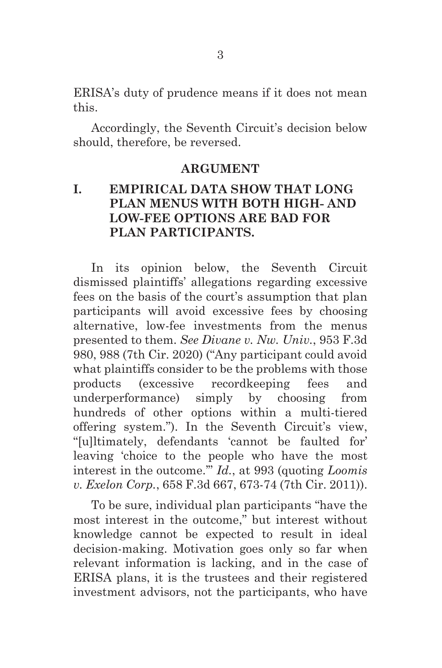ERISA's duty of prudence means if it does not mean this.

Accordingly, the Seventh Circuit's decision below should, therefore, be reversed.

#### **ARGUMENT**

### **I. EMPIRICAL DATA SHOW THAT LONG PLAN MENUS WITH BOTH HIGH- AND LOW-FEE OPTIONS ARE BAD FOR PLAN PARTICIPANTS.**

In its opinion below, the Seventh Circuit dismissed plaintiffs' allegations regarding excessive fees on the basis of the court's assumption that plan participants will avoid excessive fees by choosing alternative, low-fee investments from the menus presented to them. *See Divane v. Nw. Univ.*, 953 F.3d 980, 988 (7th Cir. 2020) ("Any participant could avoid what plaintiffs consider to be the problems with those products (excessive recordkeeping fees and underperformance) simply by choosing from hundreds of other options within a multi-tiered offering system."). In the Seventh Circuit's view, "[u]ltimately, defendants 'cannot be faulted for' leaving 'choice to the people who have the most interest in the outcome.'" *Id.*, at 993 (quoting *Loomis v. Exelon Corp.*, 658 F.3d 667, 673-74 (7th Cir. 2011)).

To be sure, individual plan participants "have the most interest in the outcome," but interest without knowledge cannot be expected to result in ideal decision-making. Motivation goes only so far when relevant information is lacking, and in the case of ERISA plans, it is the trustees and their registered investment advisors, not the participants, who have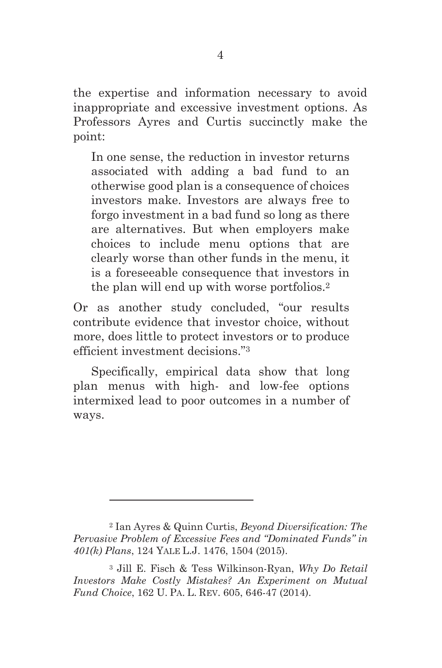the expertise and information necessary to avoid inappropriate and excessive investment options. As Professors Ayres and Curtis succinctly make the point:

In one sense, the reduction in investor returns associated with adding a bad fund to an otherwise good plan is a consequence of choices investors make. Investors are always free to forgo investment in a bad fund so long as there are alternatives. But when employers make choices to include menu options that are clearly worse than other funds in the menu, it is a foreseeable consequence that investors in the plan will end up with worse portfolios.2

Or as another study concluded, "our results contribute evidence that investor choice, without more, does little to protect investors or to produce efficient investment decisions."3

Specifically, empirical data show that long plan menus with high- and low-fee options intermixed lead to poor outcomes in a number of ways.

<sup>2</sup> Ian Ayres & Quinn Curtis, *Beyond Diversification: The Pervasive Problem of Excessive Fees and "Dominated Funds" in 401(k) Plans*, 124 YALE L.J. 1476, 1504 (2015).

<sup>3</sup> Jill E. Fisch & Tess Wilkinson-Ryan, *Why Do Retail Investors Make Costly Mistakes? An Experiment on Mutual Fund Choice*, 162 U. PA. L. REV. 605, 646-47 (2014).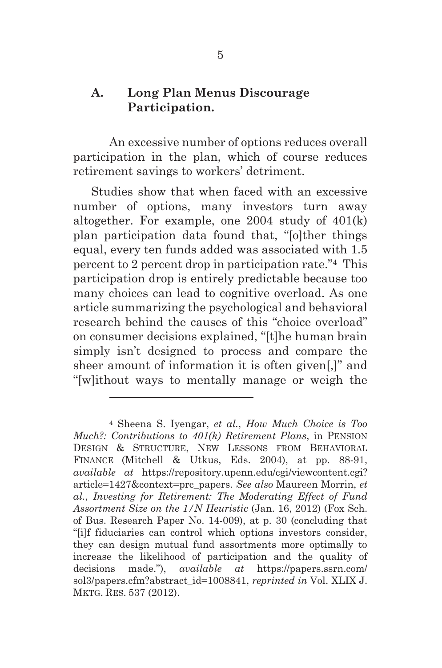### **A. Long Plan Menus Discourage Participation.**

An excessive number of options reduces overall participation in the plan, which of course reduces retirement savings to workers' detriment.

Studies show that when faced with an excessive number of options, many investors turn away altogether. For example, one 2004 study of 401(k) plan participation data found that, "[o]ther things equal, every ten funds added was associated with 1.5 percent to 2 percent drop in participation rate."4 This participation drop is entirely predictable because too many choices can lead to cognitive overload. As one article summarizing the psychological and behavioral research behind the causes of this "choice overload" on consumer decisions explained, "[t]he human brain simply isn't designed to process and compare the sheer amount of information it is often given[,]" and "[w]ithout ways to mentally manage or weigh the

<sup>4</sup> Sheena S. Iyengar, *et al.*, *How Much Choice is Too Much?: Contributions to 401(k) Retirement Plans*, in PENSION DESIGN & STRUCTURE, NEW LESSONS FROM BEHAVIORAL FINANCE (Mitchell & Utkus, Eds. 2004), at pp. 88-91, *available at* https://repository.upenn.edu/cgi/viewcontent.cgi? article=1427&context=prc\_papers. *See also* Maureen Morrin, *et al.*, *Investing for Retirement: The Moderating Effect of Fund Assortment Size on the 1/N Heuristic* (Jan. 16, 2012) (Fox Sch. of Bus. Research Paper No. 14-009), at p. 30 (concluding that "[i]f fiduciaries can control which options investors consider, they can design mutual fund assortments more optimally to increase the likelihood of participation and the quality of decisions made."), *available at* https://papers.ssrn.com/ sol3/papers.cfm?abstract\_id=1008841, *reprinted in* Vol. XLIX J. MKTG. RES. 537 (2012).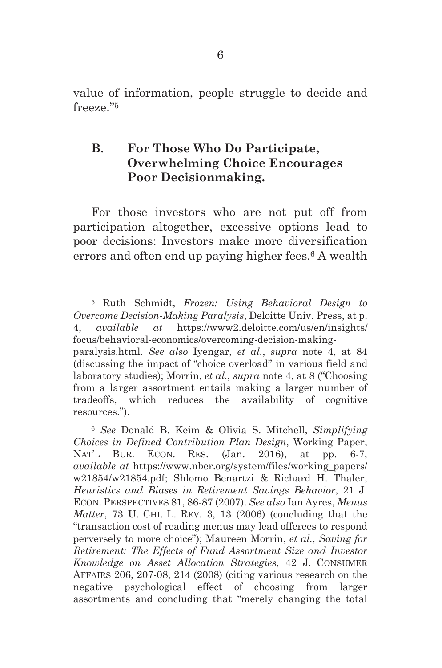value of information, people struggle to decide and freeze."5

### **B. For Those Who Do Participate, Overwhelming Choice Encourages Poor Decisionmaking.**

For those investors who are not put off from participation altogether, excessive options lead to poor decisions: Investors make more diversification errors and often end up paying higher fees.6 A wealth

<sup>5</sup> Ruth Schmidt, *Frozen: Using Behavioral Design to Overcome Decision-Making Paralysis*, Deloitte Univ. Press, at p. 4, *available at* https://www2.deloitte.com/us/en/insights/ focus/behavioral-economics/overcoming-decision-makingparalysis.html. *See also* Iyengar, *et al.*, *supra* note 4, at 84 (discussing the impact of "choice overload" in various field and laboratory studies); Morrin, *et al.*, *supra* note 4, at 8 ("Choosing from a larger assortment entails making a larger number of tradeoffs, which reduces the availability of cognitive resources.").

<sup>6</sup> *See* Donald B. Keim & Olivia S. Mitchell, *Simplifying Choices in Defined Contribution Plan Design*, Working Paper, NAT'L BUR. ECON. RES. (Jan. 2016), at pp. 6-7, *available at* https://www.nber.org/system/files/working\_papers/ w21854/w21854.pdf; Shlomo Benartzi & Richard H. Thaler, *Heuristics and Biases in Retirement Savings Behavior*, 21 J. ECON. PERSPECTIVES 81, 86-87 (2007). *See also* Ian Ayres, *Menus Matter*, 73 U. CHI. L. REV. 3, 13 (2006) (concluding that the "transaction cost of reading menus may lead offerees to respond perversely to more choice"); Maureen Morrin, *et al.*, *Saving for Retirement: The Effects of Fund Assortment Size and Investor Knowledge on Asset Allocation Strategies*, 42 J. CONSUMER AFFAIRS 206, 207-08, 214 (2008) (citing various research on the negative psychological effect of choosing from larger assortments and concluding that "merely changing the total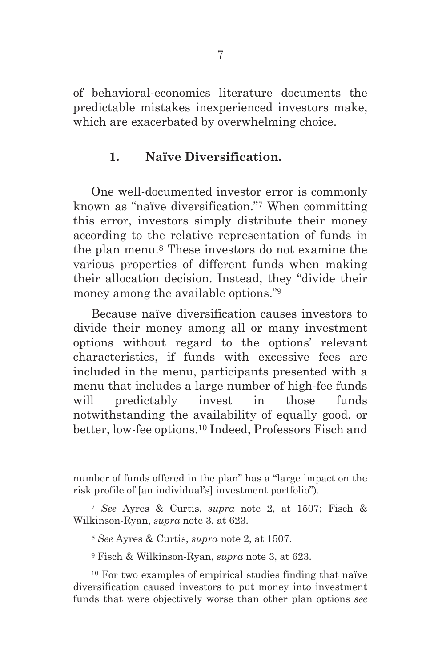of behavioral-economics literature documents the predictable mistakes inexperienced investors make, which are exacerbated by overwhelming choice.

#### **1. Naïve Diversification.**

One well-documented investor error is commonly known as "naïve diversification."7 When committing this error, investors simply distribute their money according to the relative representation of funds in the plan menu.8 These investors do not examine the various properties of different funds when making their allocation decision. Instead, they "divide their money among the available options."<sup>9</sup>

Because naïve diversification causes investors to divide their money among all or many investment options without regard to the options' relevant characteristics, if funds with excessive fees are included in the menu, participants presented with a menu that includes a large number of high-fee funds will predictably invest in those funds notwithstanding the availability of equally good, or better, low-fee options.10 Indeed, Professors Fisch and

number of funds offered in the plan" has a "large impact on the risk profile of [an individual's] investment portfolio").

<sup>7</sup> *See* Ayres & Curtis, *supra* note 2, at 1507; Fisch & Wilkinson-Ryan, *supra* note 3, at 623.

<sup>8</sup> *See* Ayres & Curtis, *supra* note 2, at 1507.

<sup>9</sup> Fisch & Wilkinson-Ryan, *supra* note 3, at 623.

<sup>10</sup> For two examples of empirical studies finding that naïve diversification caused investors to put money into investment funds that were objectively worse than other plan options *see*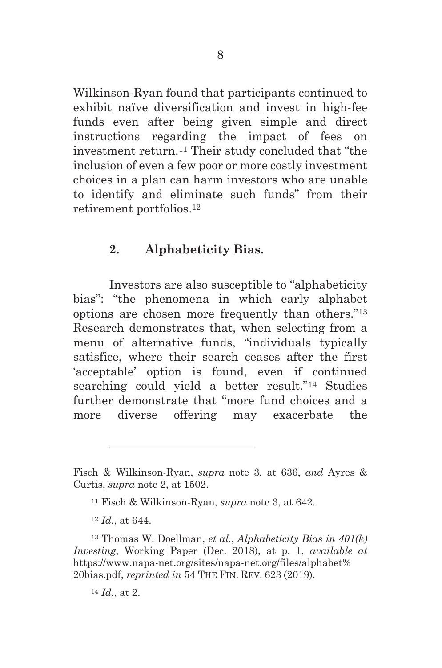Wilkinson-Ryan found that participants continued to exhibit naïve diversification and invest in high-fee funds even after being given simple and direct instructions regarding the impact of fees on investment return.11 Their study concluded that "the inclusion of even a few poor or more costly investment choices in a plan can harm investors who are unable to identify and eliminate such funds" from their retirement portfolios.12

### **2. Alphabeticity Bias.**

Investors are also susceptible to "alphabeticity bias": "the phenomena in which early alphabet options are chosen more frequently than others."13 Research demonstrates that, when selecting from a menu of alternative funds, "individuals typically satisfice, where their search ceases after the first 'acceptable' option is found, even if continued searching could yield a better result."14 Studies further demonstrate that "more fund choices and a more diverse offering may exacerbate the

Fisch & Wilkinson-Ryan, *supra* note 3, at 636, *and* Ayres & Curtis, *supra* note 2, at 1502.

<sup>11</sup> Fisch & Wilkinson-Ryan, *supra* note 3, at 642.

<sup>12</sup> *Id.*, at 644.

<sup>13</sup> Thomas W. Doellman, *et al.*, *Alphabeticity Bias in 401(k) Investing*, Working Paper (Dec. 2018), at p. 1, *available at*  https://www.napa-net.org/sites/napa-net.org/files/alphabet% 20bias.pdf, *reprinted in* 54 THE FIN. REV. 623 (2019).

<sup>14</sup> *Id.*, at 2.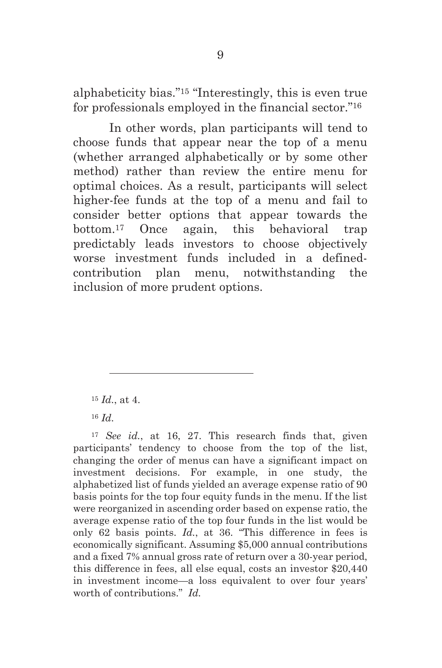alphabeticity bias."15 "Interestingly, this is even true for professionals employed in the financial sector."16

In other words, plan participants will tend to choose funds that appear near the top of a menu (whether arranged alphabetically or by some other method) rather than review the entire menu for optimal choices. As a result, participants will select higher-fee funds at the top of a menu and fail to consider better options that appear towards the bottom.17 Once again, this behavioral trap predictably leads investors to choose objectively worse investment funds included in a definedcontribution plan menu, notwithstanding the inclusion of more prudent options.

 $\overline{a}$ 

<sup>17</sup> *See id.*, at 16, 27. This research finds that, given participants' tendency to choose from the top of the list, changing the order of menus can have a significant impact on investment decisions. For example, in one study, the alphabetized list of funds yielded an average expense ratio of 90 basis points for the top four equity funds in the menu. If the list were reorganized in ascending order based on expense ratio, the average expense ratio of the top four funds in the list would be only 62 basis points. *Id.*, at 36. "This difference in fees is economically significant. Assuming \$5,000 annual contributions and a fixed 7% annual gross rate of return over a 30-year period, this difference in fees, all else equal, costs an investor \$20,440 in investment income—a loss equivalent to over four years' worth of contributions." *Id.*

<sup>15</sup> *Id.*, at 4.

<sup>16</sup> *Id.*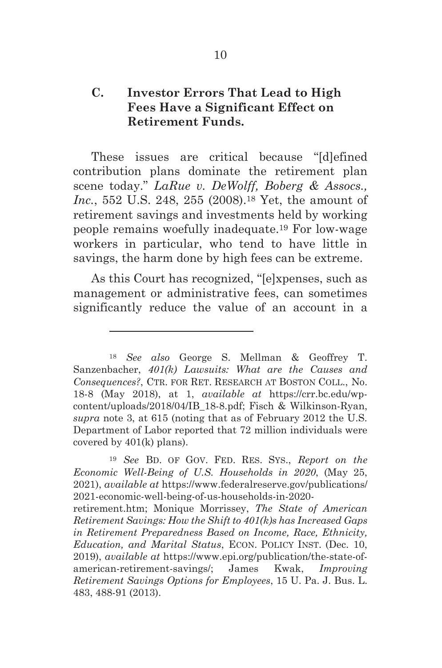### **C. Investor Errors That Lead to High Fees Have a Significant Effect on Retirement Funds.**

These issues are critical because "[d]efined contribution plans dominate the retirement plan scene today." *LaRue v. DeWolff, Boberg & Assocs., Inc.*, 552 U.S. 248, 255 (2008).18 Yet, the amount of retirement savings and investments held by working people remains woefully inadequate.19 For low-wage workers in particular, who tend to have little in savings, the harm done by high fees can be extreme.

As this Court has recognized, "[e]xpenses, such as management or administrative fees, can sometimes significantly reduce the value of an account in a

 $\overline{a}$ 

retirement.htm; Monique Morrissey, *The State of American Retirement Savings: How the Shift to 401(k)s has Increased Gaps in Retirement Preparedness Based on Income, Race, Ethnicity, Education, and Marital Status*, ECON. POLICY INST. (Dec. 10, 2019), *available at* https://www.epi.org/publication/the-state-ofamerican-retirement-savings/; James Kwak, *Improving Retirement Savings Options for Employees*, 15 U. Pa. J. Bus. L. 483, 488-91 (2013).

<sup>18</sup> *See also* George S. Mellman & Geoffrey T. Sanzenbacher, *401(k) Lawsuits: What are the Causes and Consequences?*, CTR. FOR RET. RESEARCH AT BOSTON COLL., No. 18-8 (May 2018), at 1, *available at* https://crr.bc.edu/wpcontent/uploads/2018/04/IB\_18-8.pdf; Fisch & Wilkinson-Ryan, *supra* note 3, at 615 (noting that as of February 2012 the U.S. Department of Labor reported that 72 million individuals were covered by 401(k) plans).

<sup>19</sup> *See* BD. OF GOV. FED. RES. SYS., *Report on the Economic Well-Being of U.S. Households in 2020*, (May 25, 2021), *available at* https://www.federalreserve.gov/publications/ 2021-economic-well-being-of-us-households-in-2020-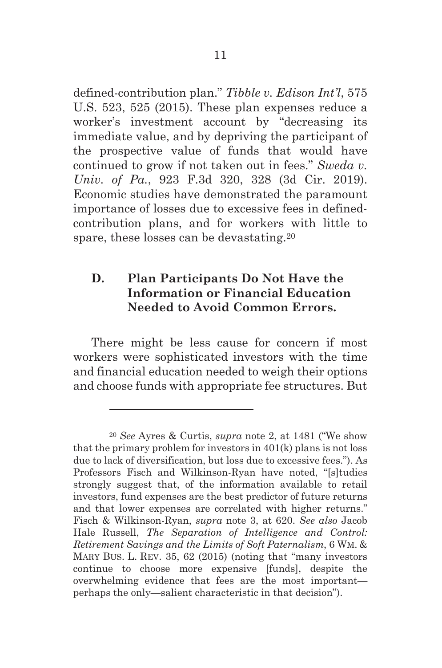defined-contribution plan." *Tibble v. Edison Int'l*, 575 U.S. 523, 525 (2015). These plan expenses reduce a worker's investment account by "decreasing its immediate value, and by depriving the participant of the prospective value of funds that would have continued to grow if not taken out in fees." *Sweda v. Univ. of Pa.*, 923 F.3d 320, 328 (3d Cir. 2019). Economic studies have demonstrated the paramount importance of losses due to excessive fees in definedcontribution plans, and for workers with little to spare, these losses can be devastating.20

### **D. Plan Participants Do Not Have the Information or Financial Education Needed to Avoid Common Errors.**

There might be less cause for concern if most workers were sophisticated investors with the time and financial education needed to weigh their options and choose funds with appropriate fee structures. But

<sup>20</sup> *See* Ayres & Curtis, *supra* note 2, at 1481 ("We show that the primary problem for investors in 401(k) plans is not loss due to lack of diversification, but loss due to excessive fees."). As Professors Fisch and Wilkinson-Ryan have noted, "[s]tudies strongly suggest that, of the information available to retail investors, fund expenses are the best predictor of future returns and that lower expenses are correlated with higher returns." Fisch & Wilkinson-Ryan, *supra* note 3, at 620. *See also* Jacob Hale Russell, *The Separation of Intelligence and Control: Retirement Savings and the Limits of Soft Paternalism*, 6 WM. & MARY BUS. L. REV. 35, 62 (2015) (noting that "many investors continue to choose more expensive [funds], despite the overwhelming evidence that fees are the most important perhaps the only—salient characteristic in that decision").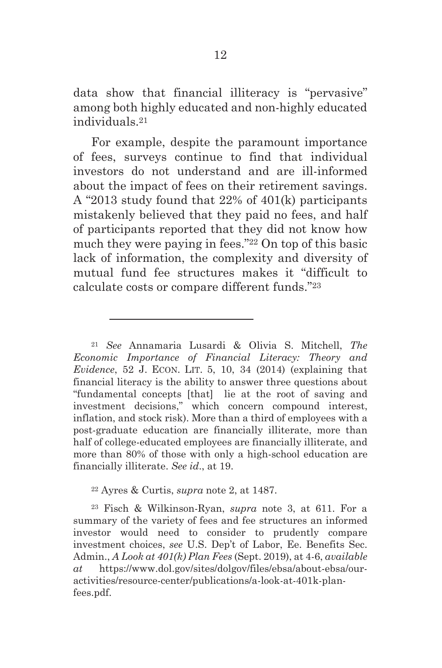data show that financial illiteracy is "pervasive" among both highly educated and non-highly educated individuals.21

For example, despite the paramount importance of fees, surveys continue to find that individual investors do not understand and are ill-informed about the impact of fees on their retirement savings. A "2013 study found that 22% of 401(k) participants mistakenly believed that they paid no fees, and half of participants reported that they did not know how much they were paying in fees."22 On top of this basic lack of information, the complexity and diversity of mutual fund fee structures makes it "difficult to calculate costs or compare different funds."23

22 Ayres & Curtis, *supra* note 2, at 1487.

 $\overline{a}$ 

23 Fisch & Wilkinson-Ryan, *supra* note 3, at 611. For a summary of the variety of fees and fee structures an informed investor would need to consider to prudently compare investment choices, *see* U.S. Dep't of Labor, Ee. Benefits Sec. Admin., *A Look at 401(k) Plan Fees* (Sept. 2019), at 4-6, *available at* https://www.dol.gov/sites/dolgov/files/ebsa/about-ebsa/ouractivities/resource-center/publications/a-look-at-401k-planfees.pdf.

<sup>21</sup> *See* Annamaria Lusardi & Olivia S. Mitchell, *The Economic Importance of Financial Literacy: Theory and Evidence*, 52 J. ECON. LIT. 5, 10, 34 (2014) (explaining that financial literacy is the ability to answer three questions about "fundamental concepts [that] lie at the root of saving and investment decisions," which concern compound interest, inflation, and stock risk). More than a third of employees with a post-graduate education are financially illiterate, more than half of college-educated employees are financially illiterate, and more than 80% of those with only a high-school education are financially illiterate. *See id*., at 19.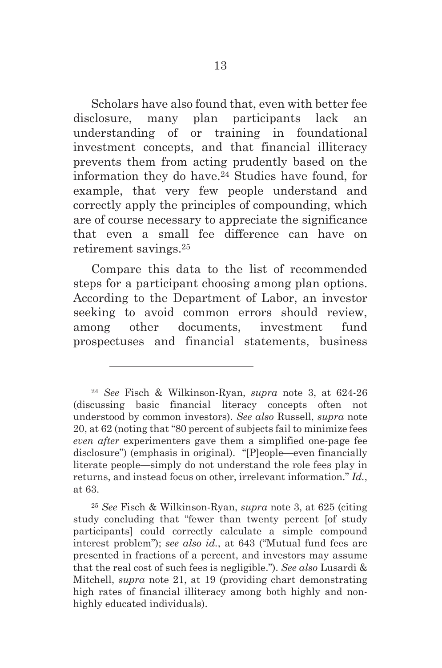Scholars have also found that, even with better fee disclosure, many plan participants lack an understanding of or training in foundational investment concepts, and that financial illiteracy prevents them from acting prudently based on the information they do have.24 Studies have found, for example, that very few people understand and correctly apply the principles of compounding, which are of course necessary to appreciate the significance that even a small fee difference can have on retirement savings.25

Compare this data to the list of recommended steps for a participant choosing among plan options. According to the Department of Labor, an investor seeking to avoid common errors should review, among other documents, investment fund prospectuses and financial statements, business

<sup>24</sup> *See* Fisch & Wilkinson-Ryan, *supra* note 3, at 624-26 (discussing basic financial literacy concepts often not understood by common investors). *See also* Russell, *supra* note 20, at 62 (noting that "80 percent of subjects fail to minimize fees *even after* experimenters gave them a simplified one-page fee disclosure") (emphasis in original). "[P]eople—even financially literate people—simply do not understand the role fees play in returns, and instead focus on other, irrelevant information." *Id.*, at 63.

<sup>25</sup> *See* Fisch & Wilkinson-Ryan, *supra* note 3, at 625 (citing study concluding that "fewer than twenty percent [of study participants] could correctly calculate a simple compound interest problem"); *see also id.*, at 643 ("Mutual fund fees are presented in fractions of a percent, and investors may assume that the real cost of such fees is negligible."). *See also* Lusardi & Mitchell, *supra* note 21, at 19 (providing chart demonstrating high rates of financial illiteracy among both highly and nonhighly educated individuals).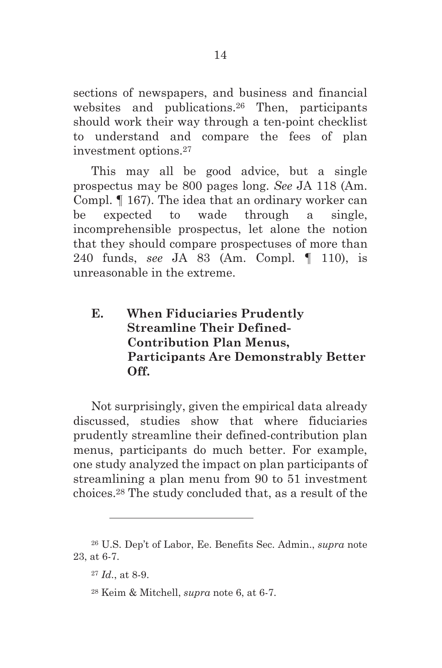sections of newspapers, and business and financial websites and publications.26 Then, participants should work their way through a ten-point checklist to understand and compare the fees of plan investment options.27

This may all be good advice, but a single prospectus may be 800 pages long. *See* JA 118 (Am. Compl. ¶ 167). The idea that an ordinary worker can be expected to wade through a single, incomprehensible prospectus, let alone the notion that they should compare prospectuses of more than 240 funds, *see* JA 83 (Am. Compl. ¶ 110), is unreasonable in the extreme.

**E. When Fiduciaries Prudently Streamline Their Defined-Contribution Plan Menus, Participants Are Demonstrably Better Off.** 

Not surprisingly, given the empirical data already discussed, studies show that where fiduciaries prudently streamline their defined-contribution plan menus, participants do much better. For example, one study analyzed the impact on plan participants of streamlining a plan menu from 90 to 51 investment choices.28 The study concluded that, as a result of the

<sup>26</sup> U.S. Dep't of Labor, Ee. Benefits Sec. Admin., *supra* note 23, at 6-7.

<sup>27</sup> *Id.*, at 8-9.

<sup>28</sup> Keim & Mitchell, *supra* note 6, at 6-7.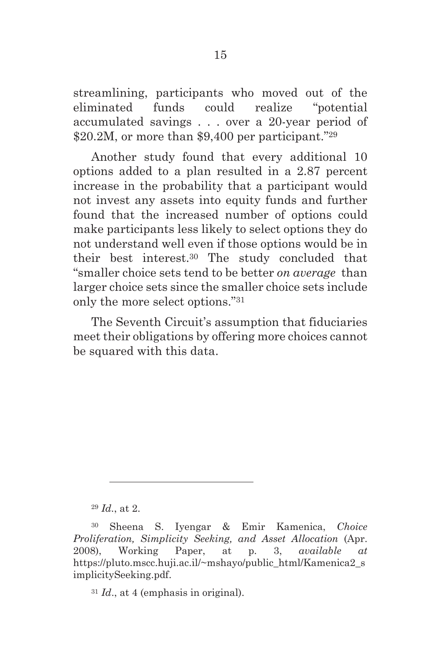streamlining, participants who moved out of the eliminated funds could realize "potential accumulated savings . . . over a 20-year period of \$20.2M, or more than \$9,400 per participant."<sup>29</sup>

Another study found that every additional 10 options added to a plan resulted in a 2.87 percent increase in the probability that a participant would not invest any assets into equity funds and further found that the increased number of options could make participants less likely to select options they do not understand well even if those options would be in their best interest.30 The study concluded that "smaller choice sets tend to be better *on average* than larger choice sets since the smaller choice sets include only the more select options."31

The Seventh Circuit's assumption that fiduciaries meet their obligations by offering more choices cannot be squared with this data.

<sup>29</sup> *Id.*, at 2.

 $\overline{a}$ 

<sup>31</sup> *Id*., at 4 (emphasis in original).

<sup>30</sup> Sheena S. Iyengar & Emir Kamenica, *Choice Proliferation, Simplicity Seeking, and Asset Allocation* (Apr. 2008), Working Paper, at p. 3, *available at* https://pluto.mscc.huji.ac.il/~mshayo/public\_html/Kamenica2\_s implicitySeeking.pdf.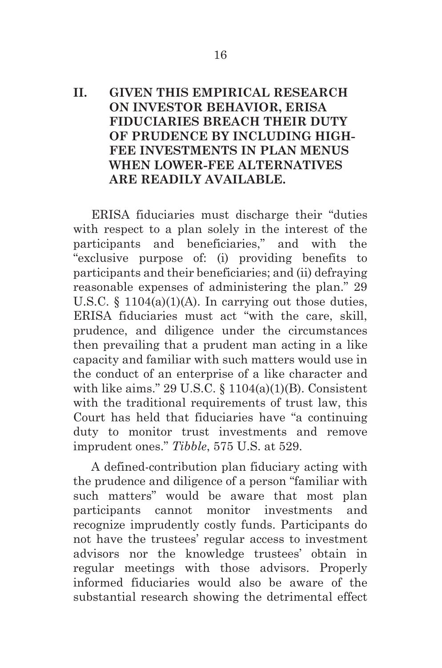### **II. GIVEN THIS EMPIRICAL RESEARCH ON INVESTOR BEHAVIOR, ERISA FIDUCIARIES BREACH THEIR DUTY OF PRUDENCE BY INCLUDING HIGH-FEE INVESTMENTS IN PLAN MENUS WHEN LOWER-FEE ALTERNATIVES ARE READILY AVAILABLE.**

ERISA fiduciaries must discharge their "duties with respect to a plan solely in the interest of the participants and beneficiaries," and with the "exclusive purpose of: (i) providing benefits to participants and their beneficiaries; and (ii) defraying reasonable expenses of administering the plan." 29 U.S.C.  $\S$  1104(a)(1)(A). In carrying out those duties, ERISA fiduciaries must act "with the care, skill, prudence, and diligence under the circumstances then prevailing that a prudent man acting in a like capacity and familiar with such matters would use in the conduct of an enterprise of a like character and with like aims." 29 U.S.C.  $\S$  1104(a)(1)(B). Consistent with the traditional requirements of trust law, this Court has held that fiduciaries have "a continuing duty to monitor trust investments and remove imprudent ones." *Tibble*, 575 U.S. at 529.

A defined-contribution plan fiduciary acting with the prudence and diligence of a person "familiar with such matters" would be aware that most plan participants cannot monitor investments and recognize imprudently costly funds. Participants do not have the trustees' regular access to investment advisors nor the knowledge trustees' obtain in regular meetings with those advisors. Properly informed fiduciaries would also be aware of the substantial research showing the detrimental effect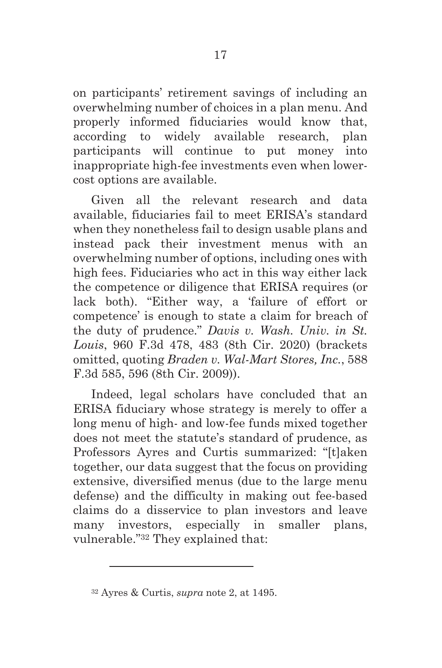on participants' retirement savings of including an overwhelming number of choices in a plan menu. And properly informed fiduciaries would know that, according to widely available research, plan participants will continue to put money into inappropriate high-fee investments even when lowercost options are available.

Given all the relevant research and data available, fiduciaries fail to meet ERISA's standard when they nonetheless fail to design usable plans and instead pack their investment menus with an overwhelming number of options, including ones with high fees. Fiduciaries who act in this way either lack the competence or diligence that ERISA requires (or lack both). "Either way, a 'failure of effort or competence' is enough to state a claim for breach of the duty of prudence." *Davis v. Wash. Univ. in St. Louis*, 960 F.3d 478, 483 (8th Cir. 2020) (brackets omitted, quoting *Braden v. Wal-Mart Stores, Inc.*, 588 F.3d 585, 596 (8th Cir. 2009)).

Indeed, legal scholars have concluded that an ERISA fiduciary whose strategy is merely to offer a long menu of high- and low-fee funds mixed together does not meet the statute's standard of prudence, as Professors Ayres and Curtis summarized: "[t]aken together, our data suggest that the focus on providing extensive, diversified menus (due to the large menu defense) and the difficulty in making out fee-based claims do a disservice to plan investors and leave many investors, especially in smaller plans, vulnerable."32 They explained that:

<sup>32</sup> Ayres & Curtis, *supra* note 2, at 1495.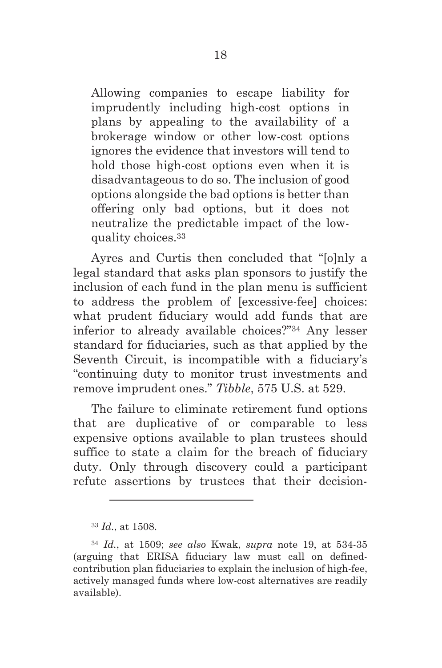Allowing companies to escape liability for imprudently including high-cost options in plans by appealing to the availability of a brokerage window or other low-cost options ignores the evidence that investors will tend to hold those high-cost options even when it is disadvantageous to do so. The inclusion of good options alongside the bad options is better than offering only bad options, but it does not neutralize the predictable impact of the lowquality choices.33

Ayres and Curtis then concluded that "[o]nly a legal standard that asks plan sponsors to justify the inclusion of each fund in the plan menu is sufficient to address the problem of [excessive-fee] choices: what prudent fiduciary would add funds that are inferior to already available choices?"34 Any lesser standard for fiduciaries, such as that applied by the Seventh Circuit, is incompatible with a fiduciary's "continuing duty to monitor trust investments and remove imprudent ones." *Tibble*, 575 U.S. at 529.

The failure to eliminate retirement fund options that are duplicative of or comparable to less expensive options available to plan trustees should suffice to state a claim for the breach of fiduciary duty. Only through discovery could a participant refute assertions by trustees that their decision-

<sup>33</sup> *Id.*, at 1508.

<sup>34</sup> *Id.*, at 1509; *see also* Kwak, *supra* note 19, at 534-35 (arguing that ERISA fiduciary law must call on definedcontribution plan fiduciaries to explain the inclusion of high-fee, actively managed funds where low-cost alternatives are readily available).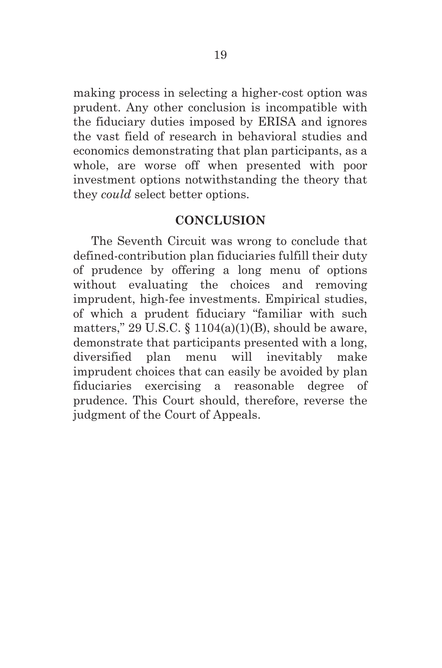making process in selecting a higher-cost option was prudent. Any other conclusion is incompatible with the fiduciary duties imposed by ERISA and ignores the vast field of research in behavioral studies and economics demonstrating that plan participants, as a whole, are worse off when presented with poor investment options notwithstanding the theory that they *could* select better options.

#### **CONCLUSION**

The Seventh Circuit was wrong to conclude that defined-contribution plan fiduciaries fulfill their duty of prudence by offering a long menu of options without evaluating the choices and removing imprudent, high-fee investments. Empirical studies, of which a prudent fiduciary "familiar with such matters," 29 U.S.C.  $\S$  1104(a)(1)(B), should be aware, demonstrate that participants presented with a long, diversified plan menu will inevitably make imprudent choices that can easily be avoided by plan fiduciaries exercising a reasonable degree of prudence. This Court should, therefore, reverse the judgment of the Court of Appeals.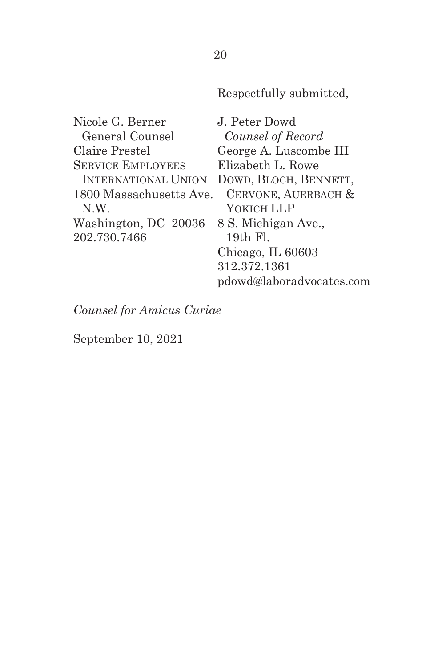Respectfully submitted,

Nicole G. Berner General Counsel Claire Prestel SERVICE EMPLOYEES INTERNATIONAL UNION DOWD, BLOCH, BENNETT, 1800 Massachusetts Ave. N.W. Washington, DC 20036 202.730.7466 J. Peter Dowd *Counsel of Record* George A. Luscombe III Elizabeth L. Rowe CERVONE, AUERBACH & YOKICH LLP 8 S. Michigan Ave., 19th Fl. Chicago, IL 60603 312.372.1361 pdowd@laboradvocates.com

*Counsel for Amicus Curiae*

September 10, 2021